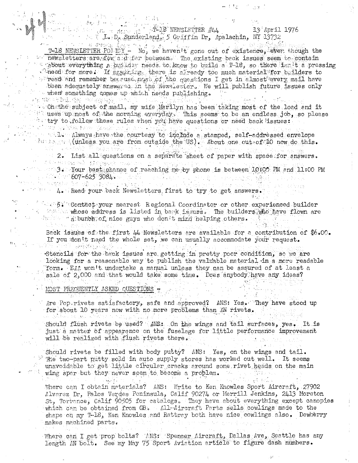1 - 10 12 13 14 18 NEWSLETTER #44 13 April 1976 J. L. D. Sunderland, 5 Griffin Dr. Apalachin, NY 13732

T-18 NEWSLETTER POID Y - No, we haven't gone out of existence, even though the " newsletters are fow a defer between. The existing back issues seem to contain s about everything a builder needs to know to build a T-18, so there isn't a pressing . Theed for more: If arguning, there is already too much material for builders to puread and remember because most of the questions I get in almost every mail have been adequately answered in the Newsletter. We will publish future issues only when something comes up which needs publishing. ket is a konstruction of

- 208

artistica

→ windows bibel, 杨格 (Bangganga) (Hindi)  $\rightarrow$   $\sim$  Oh the subject of mail, my wife Marilyn has been taking most of the load and it stiluses up most of the morning everyday. This seems to be an endless job, so please the try to follow these rules when you have questions or need back issues:

i v vra ned integración cipandad una del morte de della  $\sim$   $\sim$   $1$   $\sim$   $\Lambda$  ways have the courtesy to include a stamped, self-addressed envelope denoted by the control of the US). About one out of 10 now do this.

2. List all questions on a separate sheet of paper with space for answers. 不信仰 核红 骑士做管 得更经婚姻决策 化抗酸化作用

 $10.333333$  Your best chance of reaching me by phone is between  $10.00$  PM and  $11.00$  PM  $607 - 625$  3084 30. 短短 10.4 4. 李公寿人 中心出版 经直接保险 医血细胞 的复数形式

 $\cdot$  100 in the second of the second versus in the second versus in the second versus in the second versus in the second versus in the second versus in the second versus in the second versus in the second versus in the se

 $\sqrt{1+\sqrt{5}}$ . Contact your nearest Regional Coordinator or other experienced builder  $\mathbb{R}$  . The whose address is listed in back issues. The builders who have flown are where a bunch of nice guys who don't mind helping others.

Back issues of the first  $44$  Newsletters are available for a contribution of  $$6.00$ . If you don't need the whole set, we can usually accommodate your request.

*님께서*있나 있다 ... Stencils for the back issues are getting in pretty poor condition, so we are Tooking for a reasonable way to publish the valuable material in a more readable form. EAA won't undertake a manual unless they can be assured of at least a sale of  $2,000$  and that would take some time. Does anybody have any ideas?

MOST FREQUENTLY ASKED QUESTIONS

n italia

i Pianovico e ma

Are Pop rivets satisfactory, safe and approved? ANS: Yes. They have stood up for about 10 years now with no more problems than AN rivets. أوسلت فسرورته فالمتملح البروز وفالسلط

Should flush rivets be used? ANS: On the wings and tail surfaces, yes. It is just a matter of appearance on the fuselage for little performance improvement will be realized with flush rivets there.

Should rivets be filled with body putty? ANS: Yes, on the wings and tail.  $\mathbb{R}^3$  The two-part putty sold in auto supply stores has worked out well. It seems unavoidable to get little circular cracks around some rivet heads on the main wing spar but they never seem to become a problem.

 $\mathcal{L}_{\mathbf{d} \mathbf{d}}$  ,  $\mathcal{L}_{\mathbf{d} \mathbf{d}}$  , Where can I obtain materials? ANS: Write to Ken Knowles Sport Aircraft, 27902 Alvarez Dr, Palos Verdes Peninsula, Calif 90274 or Merrill Jenkins, 2413 Moreton St, Torrance, Calif 90505 for catalogs. They have about everything except canopies which can be obtained from GB. All-Aircraft Parts sells cowlings made to the shape on my T-18, Ken Knowles and Rattray both have nice cowlings also. Dewberry makes machined parts.

Where can I get prop bolts? 'ANS: 'Spencer Aircraft, Dallas Ave, Seattle has any length AN bolt. See my May 75 Sport Aviation article to figure dash numbers.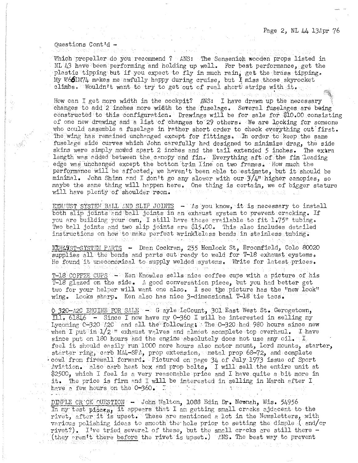Questions Cont'd -

Which propeller do you recommend ? ANS: The Sensenion wooden props listed in NL  $43$  have been performing and holding up well. For best performance, get the plastic tipping but if you expect to fly in much rain<sub>4</sub> get the brass tipping. My W66UM74 makes me awfully happy during cruise, but I miss those skyrocket climbs. Wouldn't want to try to get out of real short strips with it.

How can I get more width in the cockpit? ANS: I have drawn up the necessary changes to add 2 inches more width to the fuselage. Several fuselages are being constructed to this configuration. Drawings will be for sale for \$10.00 consisting of one new drawing and a list of changes to 29 others. We are looking for someone who could assemble a fuselage in rather short order to check everything out first. The wing has remained unchanged except for fittings. In order to keep the same fuselege side curves which John carefully had designed to minimize drag, the side skins were simply mowed apart 2 inches and the tail extended 5 inches. The extra length was added between the canopy and fin. Everything aft of the fin leading edge was unchanged except the bottom trim line on two frames. How much the performance will be affected, we haven't been able to estimate, but it should be minimal. John Shinn and I don't go any slower with our  $3/4$ " higher canopies, so maybe the same thing will happen here. One thing is certain, we of bigger stature will have plenty of shoulder room.

 $\text{EXH/UST SYSTEI}$  BALL AND SLIP JOINTS  $\rightarrow$  As you know, it is necessary to install both slip joints and ball joints in an exhaust system to prevent cracking. If you are building your own, I still have these evailable to fit 1.75" tubing. Two ball joints and two slip joints are \$15.00. This also includes detailed instructions on how to make perfect wrinkleless bends in stainless tubing.

RXHAVST-SYSTEM PARTS - Dean Cockran, 255 Hemlock St, Broomfield, Colo 80020 supplies all the bends and parts cut ready to weld for T-18 exhaust eystems. He found it uncconomical to supply welded systems. Write for latest prices.

 $T-18$  COFFIE CUPS  $\sim$  Ken Knowles sells nice coffee cups with a picture of his T-18 glazed on the side. A good conversation piece, but you had better get two for your helper will want one also. I see the picture has the "new look" wing. Looks sharp. Ken also has nice 3-dimensional T-18 tie tacs.

0.320-A2C ENGINE FOR SALE - Gayle LeCount, 301 East West St. Gerogetown,  $\overline{111.61846}$  - Since I now have my 0-360 I will be interested in selling my Lycoming  $0-320$  /2C and all the following: The  $0-320$  had 980 hours since new when I put in  $1/2$  II exhaust valves and almost acomplete top overhaul. I have since put on 180 hours and the engine absolutely does not use any oil. I feel it should easily run 1000 more hours also motor mount, Lord mounts, starter, starter ring, carb MA4-SPA, prop extension, metal prop 68-72, and complete 'cowl from firewell forward. Pictured on page 34 of July 1973 issue of Sport  $N$ viation. 21so carb heat box and prop bolts, I will sell the entire unit at \$2500, which I feel is a very reasonable price and I have quite a bit more in it. The price is firm and I will be interested in selling in March after I<br>have a few hours on the 0-360. It is a constant in the selling in March after I have a few hours on the  $0 - 360$ .  $\square$ 

DIFPLE CR CK QUESTION - John Walton, 1088 Edin Dr. Newnah, Wis. 54956 In my test piocts it appears that I am getting small cracks ejdacent to the rivet, after it is upset. These are mentioned a lot in the Newsletters, with various polishing ideas to smooth the hole prior to setting the dimple ( end/or rivet?). I've tried several of these, but the small crecks are still there -(they oren't there before the rivet is upset.) ANS. The best way to prevent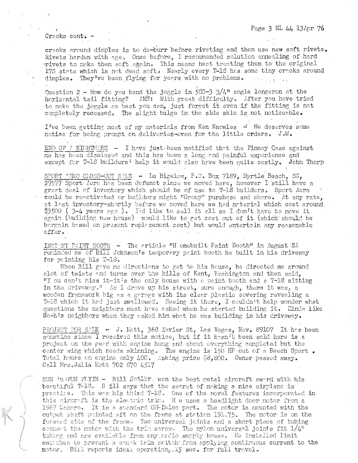## Page 3 NL 44 13Apr 76

Cracks cont. -

cracks around dimples is to de-burr before riveting and then use new soft rivets. Rivets harden with age. Once before, I recommended solution annealing of hard rivets to make them soft again. This means heat treating them to the original 17S state which is not dead soft. Nearly every T-18 has some tiny cracks around dimples. They've been flying for years with no problems.

Question 2 - How do you bend the joggle in  $580-3$   $3/4$ " angle longeron at the horizontal tail fitting? ANS: With great difficulty. After you have tried to make the joggle as best you can, just forget it even if the fitting is not completely recessed. The slight bulge in the side skin is not noticeable.

I've been getting most of my materials from Ken Knowles - He deserves some notice for being prompt on deliveried-even for the little orders. J.W.

END OF A NIGHTMARE - I have just-been notified that the Finney Case against me has been dismissed and this has been a long and painful experience and except for T-18 builders' help it would also have been quite costly. John Thorp

SPORT ARO CLOSE-OUT SALE - Lu Bigelow, P.O. Box 7189, Myrtle Beach, SC, 29577 Sport Aero has been defunct since we moved here, however I still have a great deal of inventory which should be of use to T-18 builders. Sport Aero could be reactivated or builders might "Group" purchase and share. At any rate, at last inventory-shortly before we moved here we had material which cost around. \$3500 (3-4 years ago). I'd like to sell it all so I don't have to move it dgain (building new house) would like to get cost out of it (which should be bargain based on present replacement cost) but would entertain any reasonable offer.

INSTENT PAINT BOOTH - The erticle "H omebuilt Paint Booth" in August SA reminded me of Bill Johnson's temporary paint booth he built in his driveway for painting his T-18.

When Bill gave me directions to get to his house, he directed me ground alot of twists and turns over the hills of Kent, Washington and then said, "Y ou can't miss it-it's the only house with a paint booth and a T-18 sitting in the driveway." As I drove up his street, sure enough, there it was, a wooden framework big as a garage with its clear plastic covering revealing a T-18 which it hed just swallowed. Seeing it there. I couldn't help wonder what questions the neighbors must have asked when he started building it. Kinda like Noah's neighbors when they asked him what he was building in his driveway.

PROJECT FOR SALE - J. Mott, 368 Xavier St, Las Vegas, Nev. 89107 It has been sometime since I received this notice, but if it hasn't been sold here is a project on the gear with engine hung and about overything completed but the center wing which needs skinning. The engine is 150 HP out of a Beech Sport. Total hours on engine only 400. Asking price \$8,800. Owner passed away. Call Mrs.Julia Nott 702 870 4517

SUN In FUN FLYIN - Bill Satier, won the best metal aircraft awerd with his beautiful T-18. B ill says that the secret of making a nice airplane is practice. This was his third T-18. One of the novel features incorporated in this aircreft is the electric trim. He uses a headlight door motor from a 1967 Camaro. It is a standard GM-Delco part. The motor is mounted with the output shaft pointed aft on the frame at station  $191.75$ . The motor is on the forward side of the frame. Two universal joints and a short piece of tubing connact the motor with the trim serew. The nylon universal joints fit  $1/4^n$ tubing and are available from any radio supply house. He installed limit switches to prevent a stunk trim switch from applying continuous current to the motor. Bill reports ideal operation, 15 sec. for full travel.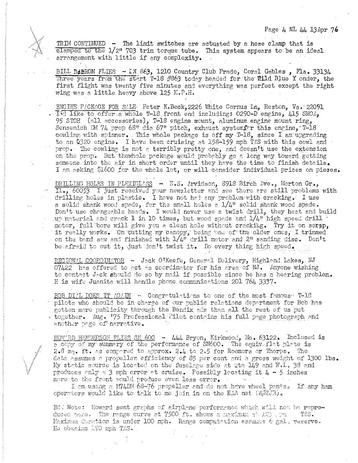Page 4 NL 44 13Apr 76

TRIM CONTINUED  $-$  The limit switches are actuated by a hose clamp that is clamped to the 1/2" 703 trim torque tube. This system appears to be an ideal arrangement with little if any complexity.

BILL BARRON FLIES - *LX 863*, 1210 Country Club Prado, Coral Gables, Fla. 33134 Three years from the start T-18 #863 today headed for the Wild Blue Yonder, the first flight was twenty five minutes and everything was perfect except the right wing was a little heavy above 125 M.P.H.

ENGINE PACKAGE FOR SALE Peter K.Beck, 2226 White Cornus Ln, Reston, Va. 22091 . Ind like to offer a whole T-18 front end including: 0290-D engine,  $415$  SMOA, 95 STOH (all accessories), T-18 engine mount, aluminum engine mount ring, Sensenich DM 74 prop 68" dia 67" pitch, exhaust system $\mathbf{f}$ rr this engine, T-18 cowling with spinner. This whole package is off my  $T-18$ , since I am'upgrading to an  $Q320$  engine. I have been cruising at 158-159 mph TAS with this cowl and prop. The cowling is not a terribly pretty one, and doesn't use the extension on the prop. But thewhole package would probably go a long way toward getting someone into the air in short order until they have the time to finish details. I am asking \$1600 for the whole lot, or will consider individual prices on pieces.

DRILLING HOLES IN PLEXIGLASS - E.S. Arvidson, 8918 Birch Ave., Morton Gr., 1., 60053 I just received your newsletter and see there are still problems with drilling holes in plastic. I have not hed any problem with cracking. I use a solid shank wood spade, for the small holes a  $1/4$ " solid shank wood spade. Don't use changeable heads. I would never use a twist drill, they heat and build  $\omega$  material and crack 1 in 10 times, but wood spade and  $1/4$ t high speed drill  $\cdot$ motor, full bore will give you a clean hole without crackilg. Try it on scrap, it reclly works. On cutting my canopy, being one of the older ones, I trimmed on the band saw and finished with  $1/4$ " drill motor and 2" sanding disc. Don't be afraid to cut it, just don't twist it. Do every thing high speed.

REGIONAL COORDINATOR - Jack O'Keefe, General Delivery, Highland Lakes, NJ  $07422$  has offered to act as coordinator for his area of NJ. Anyone wishing to contact Jack should do so by mail if possible since he has a hearing problem. H is wife Juanita will handle phone communications 201 764 3337.

BOB DIAL DOES IT AGAIN - Congratulations to one of the most famous T-18 pilots who should be in charge of our public relations department for Bob has gotten more publicity through the Bendix ads than all the rest of us put together. Aug. '75 Professional Pilot contains his full page photograph and another page of narrative.

HOW'RD HENDERSON FLIES SN 600 - 444 Bryon, Kirkwood, Mo. 63122. Inclosed is a copy of my summary of the performance of SN600. The equiv. flat plate is  $2.8$  sq. ft. as compared to approx. 2.4 to 2.5 for Roemers or Thorps. The data assumes a propeller efficiency of 85 per cent and a gross weight of 1300 lbs. My static source is located on the fuselage side at 9ta 149 and W.L, 38 and produces only a 3 mph error at cruise. Possibly locating it  $4 - 5$  inches more to the front would produce even less error.

I am using a M74DM 68-76 propeller and do not have wheel pants. If any ham operators would like to talk to me join in on the EAA net  $(\mathbb{W}{\mathbb{Z}} \in \mathbb{R})_c$ 

Ed, Note: Howard sent graphs of airplane performance which will now be repreduced here. The range curve at 7500 ft. shows a maximum at  $125$ ,  $m$  = TAS. Maximum duration is under 100 mph. Range computation assumes 6 gal, reserve. He obvains 190 mph TAS.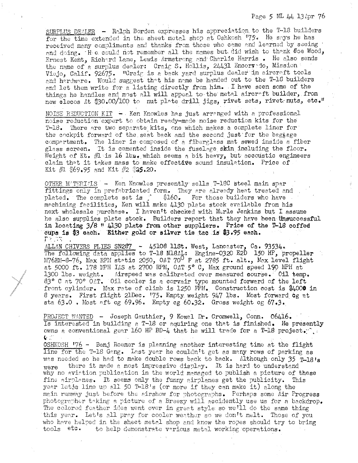Page 5 ML 44 13 Apr 76

SURPLUS DEALER - Ralph Borden expresses his appreciation to the T-18 builders for the time extended in the sheet metal shop at Oshkosh 175. He says he has received many compliments and thanks from those who came and learned by seeing and doing. It a could not remember all the names but did wish to thank  $\theta$  oe Wood, Ernest Kent, Richard Lane, Lewis Armstrong and Charlie Harris. He also sends the name of a surplus dealer: Craig S. Hollis, 24431 Encorredo, Mission Viejo, Calif. 92675. "Craig is a back yard surplus dealer in aircraft tools and hardware. Would suggest that his name be handed out to the T-18 builders and let them write for a listing directly from him. I have seen some of the things he handles and most all will appeal to the metal aircreft builder, from new clecos At \$30.00/100 to nut plate drill jigs, rivet sets, rivet nuts, etc."

NOISE REDUCTION KIT - Ken Knowles has just arranged with a professional noise reduction expert to obtain ready-made noise reduction kits for the T-18. There are two separate kits, one which makes a complete liner for the cockpit forward of the seat back and the second just for the baggage compartment. The liner is composed of a fiberglass mat sewed inside a fiber glass screen. It is cemented inside the fuselege skin including the floor. Weight of Kt.  $\#1$  is 16 lb $x_{\bullet}$  which seems a bit heavy, but accoustic engineers claim that it takes mass to make effective sound insulation. Price of Kit  $\#1$  \$69.95 and Kit  $\#2$  \$25.20.

OTHER M'TERIALS - Ken Knowles presently sells T-18C steel main spar fittings only in prefabricated form. They are already heat treated and plated. The complete set is full \$160. For those builders who have mechining fecilities. Ken will make 4130 plate stock available from his next wholesale purchase. I haven't checked with Merle Jenkins but I assume he also supplies plate stock. Builders report that they have been unsuccessful in locating 3/8 " 4130 plate from other suppliers. Price of the T-18 coffed cups is \$3 each. Either gold or silver tie tac is \$3.95 each. 『スコスト

ALLAN CHIVERS FLIES SN287 - 45108 list. West, Lancaster, Ca. 93534. The following data applies to T-18 N18AL: Engine-0320 E2D 150 HP, propeller M76EM-8-76, Max RPM static 2050, OAT 70<sup>0</sup> F at 2785 ft. alt., Max level flight at 5000 ft. 178 MPH IAS at 2700 RPM, OAT 5° C, Max ground speed 190 MPH at Airspeed was calibrated over measured sourse. Oil temp. 1300 lbs. weight. 83° C at 70° OAT. Oil cooler is a corvair type mounted forward of the left front cylinder. Max rate of climb is 1250 FPM. Construction cost is \$4000 in 8 years. First flight 21Dec. 75. Empty weight 947 lbs. Most forward og at sta 63.0. Most aft og 69.96. Empty og 60.32. Gross weight og 67.3.

PROJECT WANTED - Joseph Gauthier, 9 Kowal Dr. Cromwell, Conn. 06416. Is interested in building a T-18 or aquiring one that is finished. He presently owns a conventional gear 160 HP BD-4 that he will trade for a T-18 project.".  $C^{\text{eff}}$ 

OSHKOSH '76 - Benj Roemer is planning another interesting time at the flight line for the T-18 Gang. Last year he couldn't get as many rows of parking as was needed so he had to make double rows back to back. Although only 35 T-18's there it made a most impressive display. It is hard to understand were why no aviation publication in the world managed to publish a picture of these fine airplanes. It seems only the funny airplanes get the publicity. This year letss line up all 50 T-18's (or more if they can make it) along the main runway just before the airshow for photographs. Perhaps some Air Progress photographer taking a picture of a Breezy will accidently use us for a backdrop. The colored feather idea went over in great style so we'll do the same thing this year. Let's all pray for cooler weather so we don't melt. Those of you who have helped in the sheet metal shop and know the ropes should try to bring tools etc. to help demonstrate various metal working operations.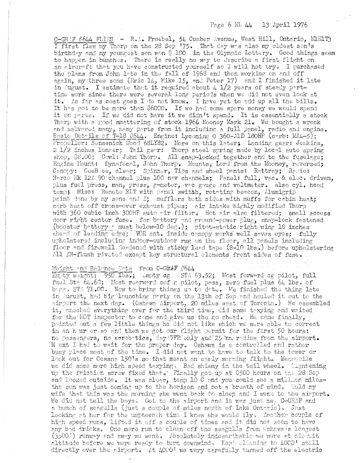C-GRAF #644 FLIES - R.A. Froebel, 54 Cumber Avenue, West Hill, Ontario, MRIT3 I first flew my Thorp on the 28 Sep '75. That day was also my oldest son's birthday and my youngest son won \$ 100 in the Olympic Lottery. Good things seem to happen in bunches. There is really no way to describe a first flight on an aircraft that you have constructed yourself so I will not try. I purchased the plans from John late in the fall of 1968 and then working on and off again, my three sons (Eric  $14$ , Mike 15, and Peter 17) and I finished it late in August. I estimate that it required about 4  $1/2$  years of steady parttime work since there were several long periods when we did not even look at it. As far as cost goes I do not know. I have yet to add up all the bills. It has got to be more than \$6000. If we had some spare money we would spend it on parts. If we did not have it we didn't spend. It is essentially a stock Thorp with a good smattering of stock 1966 Mooney Mark 21. We bought a wreck and salvaged many, many parts from it including a full panel, radio and engine. Basic Details of T-18 #644. Engine: Lycoming 0 360-AlD 180HP (carb: MA4-5); Propeller: Sensenich Wood 68LY82. More on this later; Landing gear: Jenkins, 2 1/2 inches longer; Tail gear: Thorp steel spring made by local auto spring shop, \$8.00; Cowl: John Thorp. All snap-locked together and to the fuselage; Engine Mount: Dynafocal, John Thorp. Mounts, Lord from the Mooney, reversed; Canopy: GeeB ee, clear; Spinner, Tips and wheel pants: Rattray; Radio: Narco Mk 126 90 channel plus 100 nav channels; Panel: full, vac. & elec. driven, plus fuel press, man, press, g-meter, voc gauge and voltmeter. also cyl. head temp; Misc: Remote ELT with panel switch, rotating beacon, Alumigrip paint done by my sons and I; mufflers both sides with muffs for cabin heat; carb heat off cross-over exhaust pipes; air intake highly modified Thorp with 360 cubic inch 300HP auto air filter. Hot air also filtered; small access door right center fuse. Tor battery and ground-power plug, snap-lock fastened (booster battery a must below-10 deg.); pitot-static right wing 18 inches ahead of leading edge, WOR ant. inside canopy works well saves eyes; tully upholstered including indoor-outdoor rug on the floor, all panels including floor and firewall deadened with sticky lead tape (8-10 lbs.) before upholstering All AN-flush riveted except key structural elements front sides of fuse.

## Weight and Balance Data from C-GRAF #644

Empty weight: 950 lbs.; empty og STA 63.52; Most forward og pilot, full fuel Sta 64.68; Most rearwerd cof g pilot, pass, zero fuel plus 64 lbs. of bagg. STA 71.00. Now to bring things up to date. We finished the thing late in August, had big launching party on the 13th of Sep and hauled it out to the airport the next day. COshawa Airport, 20 miles east of Toronto.) We assembled it, checked everything over for the third time, did some taxying and waited for the EOT inspector to come and give us the go ahead. He came finally, pointed out a few little things he did not like which we were able to correct in an hour or so and then we got our flight permit for the first 50 hours: no passengers, no aerobatics, day VFR only and 25 nm radius from the airport. N ext I had to wait for the proper day. Oshawa is a controlled and rather busy place most of the time. I did not want to have to talk to the tower or look out for Cessna 150's so that meant an early morning flight. Meanwhile we did some more high speed taxying. Bad shimmy in the tail wheel. Thentening up the friction screw fixed that. Finally got up at 0500 hours on the 28 Sep and looked outside. It was clear, temp 10 C and you could see a mill.ion milesthe sun was just coming up to the horizon and not a breath of wind. Told my wife that this was the morning she went back to sleep and I went to the airport. We did not tell the boys. Got to the airport and it was just me, C-GRAF and a bunch of seagulls (just a couple of miles north of Lake Ontario). Just looking at her for the umpteenth time I knew she would fly. Another couple of high speed runs, lifted it off a couple of times and it did not seem to have any bad tricks. One more run to clean off the seagulls from Cshawa's longest (3500:) runwey and away we went. Absolutely indescribable we were at circuit altitude before we were ready to turn downwind. Key climbing to 4000' still directly over the airport. At 4000' we wery carefully turned off the electric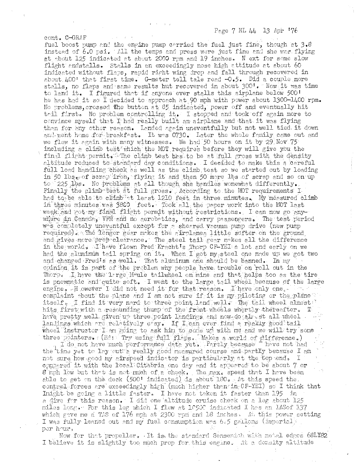fuel boost pump and the engine pump carried the fuel just fine, though at 3.8 instead of 6.0 psi. All the temps and press were just fine and she was flying at about 125 indicated at about 2009 rpm and 19 inches. Next for some slow flight andstalls. Stalls in an exceedingly nose high attitude at about 60 indicated without flaps, rapid right wing drop and fall through recovered in about  $\mu$ 00' that first time. G-meter tell tale read  $-0.5$ . Did a couple more stalls, no flaps and same results but recovered in about 300'. Now it was time to land it. I figured that if anyone ever stalls this airplane below 500! he has had it so I decided to approach at 90 mph with power about 1300-1400 rpm. No problems, crossed the button at 85 indicated, power off and eventually hit thil first. No problem controlling it. I stopped and took off again more to convince myself that I had really built an airplane and that it was flying than for any other reason. Landed again uneventfully but not well tied it down and went home for breakfast. It was 0730. Later the whole family came out and we flew it again with many witnesses. We had 50 hours on it by 29 Nov 75 including a climb test which the MOT requires before they will give you the final flight permit. The climb test has to be at full gross with the density altitude reduced to standard day conditions. I decided to make this a careful full load handling check as well as the climb test so we started out by loading in 50 lbs got scrap iron, flying it and then 50 more lbs of scrap and so on up to  $225$  lbs. No problems at all though she handles womewhat differently. Finally the climb test at full gross. According to the MOT requirements I had to be able to climb it least 1210 feet in three minutes. My measured climb in three minutes was 5800 feet. Took all the paper work into the MOT last weekland got my final flight permit without restrictions. I can now go anywhere in Canada, VFR and no aerobatics, and carry passengers. The test period was completely uneventful except for a sheared vacuum pump drive (new pump required). The longer gear makes the airplanea little softer on the ground and gives more prep clearance. The steel tail gear makes all the difference in the world. I have flown Fred Kracht's Thorp CF-YEI a lot and early on we had the aluminum tail spring on it. When I got my steel one made up we got two and changed Fred's as well. That aluminum one should be banned. In my opinion it is part of the problem why people have trouble on roll out in the Thorp. I have the lrige Moule tailwheel on mine and that helps too as the tire is pnewmetic and quite soft. I went to the large tail wheel because of the large engine. However I did not need it for that reason. I have only one. complaint about the plane and I am not sure if it is my piloting or the plane " itself. I find it very nard to three point land well. Ine tail wheel almost hits first with a resounding thump of the front wheels whertly therefter. I have pretty well given up three point landings and now do alreat all wheel landings which are relatively easy. If I can ever find a really good tail wheel instructor I am going to ask him to cone up with me and we will try some three pointers. (Ed: Try using full flaps. Makes a world of difference.)

cont. C-GRAF

I do not have much performance data yet. Partly because theve not had the time yet to lay out a really good nossured course and partly because I am not sure how good my airspeed indicator is particularly at the top end. I opppared it with the local Citabria one day and it appeared to be about 7 or 8 mph low but that is not much of a check, The max. speed that I have been able to get on the deck  $(500^{\circ}$  indicated) is about 180. At this speed the. control forces are exceedingly high (much higher than in  $0F-YET$ ) so I think that Imight be going a little faster. I have not taken it faster than 195 in a dive for this reason. I did one altitude cruise check on a leg about 125 miles long. For this leg which I flew at 10500 indicated I has an IMSof 137 which gave me a TAS of 176 mph at 2300 rpm and 18 inches. At this power setting I was fully leaned out and my fuel consumption was  $6.5$  gallons (imperial). per hour.

Now for that propeller, It is the standard Sensenich with metal edges 68LY82 I believe it is slightly too much prop for this engine. At a density altitude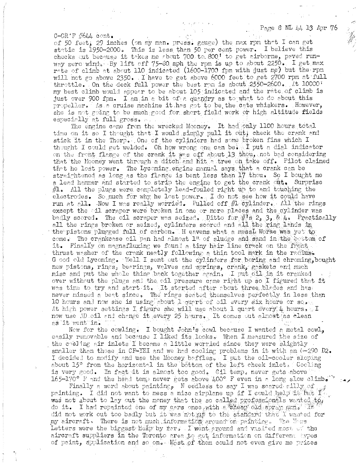Page 8 NL 44 13 Apr 76

 $C-GR'F$  #644  $cont.$ 

of 50 feet; 29 inches (on my man. press. gauge) the max rpm that I can get static is 1950-2000. This is less than 50 per cent power. I believe this checks out because it takes me about 700 to 800<sup>1</sup> to get airborne, paved runway zero wind. By lift off 75-80 mph the rpm is up to about 2250. I get max rate of climb at about 110 indicated (1600-1700 fpm with just me) but the rpm will not go above 2350. I have to get above 6000 feet to get 2700 rpm at full throttle. On the deck full power the best rpm is about 2550-2600. It 10000 my best climb would appear to be about 105 indicated and the rate of climb is just over 900 fpm. I am in a bit of a quandry as to what to do about this propeller. As a cruise machine it has got to be the cats whiskers. However, she is not going to be much good for short field work or high altitude fields especially at full gross.

The engine came from the wrecked Mooney. It had only 1100 hours total time on it so I thought that I would simply pull it out; check the crank and stick it in the Thorp. One of the cylinders had some broken fins which I thought I could get welded. Oh how wrong one can be it. I put a dial indicator on the front flange of the crank it was off about 13 thou, not bed considering that the Mooney went through a ditch and hit a tree on take off. Pilot claimed that he lost power. The Lycoming engine manual says that a crank can be straightened as long as the flange is bent less than 17 thou. So I bought me a lead hammer and started to strip the engine to get the crank out. Surprise  $#1.$  All the plugs were completely lead-fouled right up to and touching the electrodes. So much for why he lost power. I do not see how it could have run at all. Now I was really worried. Pulled off #1 cylinder. All the rings except the cil scraper were broken in one or more places and the cylinder was badly scored. The oil scraper was seized. Ditto for #1s 2, 3, & 4. Prectically all the rings broken or seized, cylinders scored and all the ring lands in the pistons plugged full of carbon. H eavens what a messL Worse was yet to come. The crankcase oil pan had almost 1" of sludge and sand in the cottom of it. Finally on magnafluxing we found a tiny hair line crack on the frent thrust wesher of the crank neetly following a thin tool mark in the radius. G ood old Lycoming. Well I sent out the cylinders for boring and chroming, bought new pistons, rings, beerings, valves and springs, crank, gaskets and much misc and put the whole thing back together ggain. I put oil in it cranked over without the plugs and the oil pressure came right up so I figured that it was time to try and start it. It started after about three blades and has never missed a beat since. The rings seated themselves perfectly in less than 10 hours and now she is using about 1 quart of oil every six hours or so. At high power settings I figure she will use about 1 quart every 4 hours. I now use AD oil and change it every 25 hours. It comes out almost as clean as it went in.

Now for the cowling. I bought John's cowl because I wanted a metal cowl. easily removable and because I liked its looks. When I measured the size of the cooling air inlets I became a little worried since they were slightly smaller than those in CF-YEI and we had cooling problems in it with an  $(-290)$  D<sub>2</sub>. I decided to modify and use the Mooney baffles. I put the cil-cooler sloping about 15° from the horizontal in the bottom of the left cheek inlets Cooling is very good. In fact it is almost too good. Cil temp. never gets above 165-170° F and the head temp never gets above 400° F even in a long slow climb. "

Finally a word about painting, N eedless to say I was scared silly of peinting. I did not want to mess a nice airplane up if I could help in being. was not about to lay out the money that the so called professionals wanted to, do it. I had repainted one of my cars once with a theap old spray gan. If did not work out too badly but it was not as to the standard that I wanted for my aircraft. There is not much informatidi around on painting. The Navs Letters were the biggest herp by fer. I went around and vasited most of the aircraft suppliers in the Toronto area to get information on different types of paint, application and so on. Most of them could not even give me prices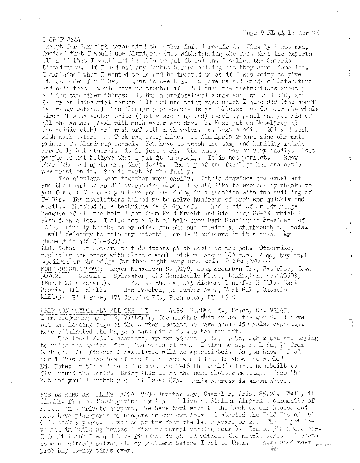$G$  GR  $'F$   $#644$ 

except for Randolph never mind the other info I required. Finally I got mad, decided that I would use Alumigrip (not withstanding the fact that the experts all said that I would not be able to put it on) and I called the Ontario Distributor. If I had had any doubts before calling him they were dispelled. I explained what I wanted to do and he treated me as if I was going to give him an order for \$50k. I went to see him. He gave me all kinds of literature and said that I would have no trouble if I followed the instructions exactly and did two other things: l. Buy a professional spray gun, which I did, and 2. Buy an industrial carbon filtered breathing mask which I also did (the stuff is pretty potent.) The Alumigrip procedure is as follows: a. Go over the whole aircraft with scotch brite (just a scouring pad) panel by panel and get rid of all the shine. Wash with much water and dry. b. Next put on Metalprep 33 (an acidic etch) and wash off with much water. c. Next Alodine 1201 and wash with much water. d. Thek rag everything. e. Alumigrip 2-part zinc chromate primer. f. Alumigrip enamel. You have to watch the temp and humidity fairly carefully but otherwise it is just work. The enamel goes on very easily. Most people do not believe that I put it on myself. It is not perfect. I know where the bad spots are, they don't. The top of the fuselage has one cat's paw print on it. She is part of the family.

The airplane went together very easily. John's drawings are excellent and the newsletters did everything else. I would like to express my thanks to you for all the work you have and are doing in connection with the building of T-18's. The newsletters helped me to solve hundreds of problems quickly and eesily. Matched hole technique is foolproof. I had a bit of an advantage because of all the help I got from Fred Kracht and his Thorp CF-YEI which I also flew a lot. I also got a lot of help from Herb Cunningham President of EAAC. Finally thanks to my wife, Ann who put up with a lot through all this. I will be happy to help any potential or T-18 builders in this area. My phone  $\#$  is 416 284-5237.

(Ed. Note: It appears that 80 inches pitch would do the job. Otherwise, replacing the brass with plastic would pick up about 109 rpm. Also, try stall. MORE COORDINATORS: Roger Wesselman SN /179, 4054 Suburben Dra, Waterloo, Jowe  $50702 -$ Corwin L. Sylvester, 478 Monticello Blvd., Lexington, Ky. 40503,  $(Built 11$  pireraft). Ken L. Rhoads, 175 Hickory Lone-Far H ills, East Bob Froebel, 54 Cumber Ave., West Hill, Ontario Peoria, Ill. 61611. MIEIT3. Bill Shaw, 174 Croydon Rd., Rochester, NY 14613

HELP DON TAYLOR FLY ALL THE WAY - 44455 Benten Rd., Hemet, Ca. 92343.<br>I am preparing my T-13, Vistoria, for another frip around the world. I have wet the leading edge of the center section so have about 150 gals. capacity. Have eliminated the baggage tank since it was too far aft.

The local E.A.A. charters, my own 92 and 1, 11, 7, 96, 448 & 494 are trying to raise the capitol for a 2nd world flight. I plan to depart 1 Aug 76 from Oshkosh. All financial assistance will be appreciated. As you know I feel our T-18's gre capgble of the flight and would like to show the world.<sup>3</sup> Ed. Note: "tt's all help Don make the T-18 the world's first homebuilt to fly ground the world. Bring this up at the next chapter meeting. Pass the hat and you'll probably get at least \$25. Don's address is shown above.

BOB DE RING JR, FLIES #478 7638 Jupitor Way, Chandler, Ariz. 85224. Well, it finally flew on Thanksgiving Day '75. I live at Stellar Airpark a community of houses on a private airport, We have taxi ways to the back of our houses and most have planeports or hangers on our own lots. 1 started the T-18 Doc of 66 & it took 9 years. I worked pretty fast the 1st 2 years or so. Then I got involved in building houses (after my normal working hours). Ism on Sin house now. I den't think I would have finished it at all without the newsletters. It soems someone already solved all my problems before I got to them. I have read them probably twenty times over,